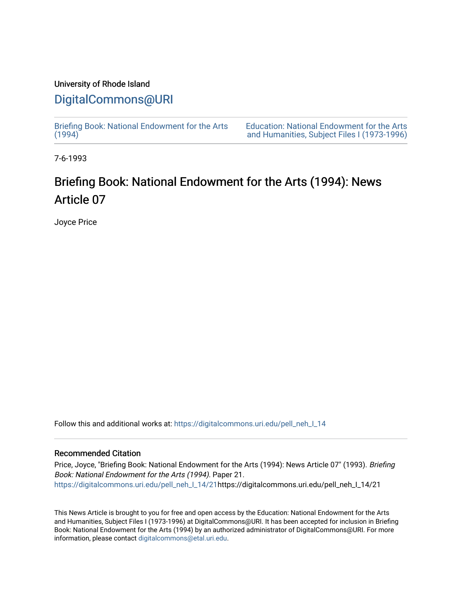# University of Rhode Island

# [DigitalCommons@URI](https://digitalcommons.uri.edu/)

[Briefing Book: National Endowment for the Arts](https://digitalcommons.uri.edu/pell_neh_I_14)  $(1994)$ 

[Education: National Endowment for the Arts](https://digitalcommons.uri.edu/pell_neh_I)  [and Humanities, Subject Files I \(1973-1996\)](https://digitalcommons.uri.edu/pell_neh_I) 

7-6-1993

# Briefing Book: National Endowment for the Arts (1994): News Article 07

Joyce Price

Follow this and additional works at: [https://digitalcommons.uri.edu/pell\\_neh\\_I\\_14](https://digitalcommons.uri.edu/pell_neh_I_14?utm_source=digitalcommons.uri.edu%2Fpell_neh_I_14%2F21&utm_medium=PDF&utm_campaign=PDFCoverPages) 

#### Recommended Citation

Price, Joyce, "Briefing Book: National Endowment for the Arts (1994): News Article 07" (1993). Briefing Book: National Endowment for the Arts (1994). Paper 21. [https://digitalcommons.uri.edu/pell\\_neh\\_I\\_14/21h](https://digitalcommons.uri.edu/pell_neh_I_14/21?utm_source=digitalcommons.uri.edu%2Fpell_neh_I_14%2F21&utm_medium=PDF&utm_campaign=PDFCoverPages)ttps://digitalcommons.uri.edu/pell\_neh\_I\_14/21

This News Article is brought to you for free and open access by the Education: National Endowment for the Arts and Humanities, Subject Files I (1973-1996) at DigitalCommons@URI. It has been accepted for inclusion in Briefing Book: National Endowment for the Arts (1994) by an authorized administrator of DigitalCommons@URI. For more information, please contact [digitalcommons@etal.uri.edu.](mailto:digitalcommons@etal.uri.edu)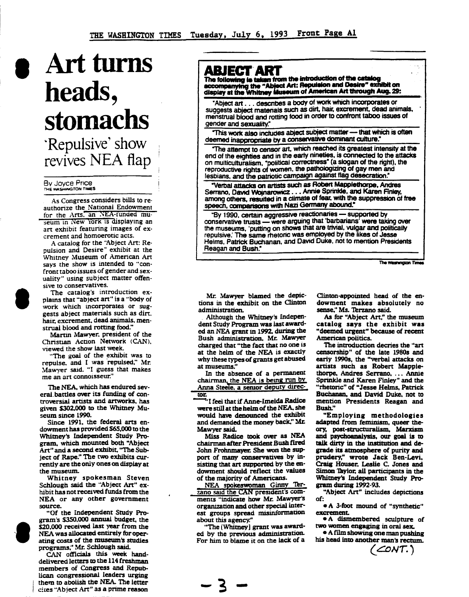# **1 Art** turns heads, **stomachs**

-Repulsive' show revives NEA flap

### By Joyce Price !'

I

As Congress considers bills to re· authorize the National Endowment for the Arts. an NEA-funded museum in New York is displaying an art exhibit featuring images of excrement and homoerotic acts.

A catalog for the "Abject Art: Repulsion and Desire" exhibit at the Whitney Museum of American Art says the show is intended to "confront taboo issues of gender and sexuality" using subject matter offensive to conservatives.

The catalog's introduction explains that "abject art" is a "body of work which incorporates or suggests abject materials such as dirt. hair. excrement, dead animals. menstrual blood and rotting food."

Martin Mawyer. president of the Christian Action Network (CAN), viewed the show last week.

"The goal of the exhibit was to repulse, and I was repulsed," Mr. Mawyer said. "I guess that makes me an art connoisseur."

The NEA, which has endured sev-<br>eral battles over its funding of controversial artists and artworks, has given \$302.000 to the Whimey Mu-

seum since 1990.<br>Since 1991, the federal arts endowment has provided \$65,000 to the Whimey's Independent Study Program, which mounted both "Abject Art" and a second exhibit, "The Subject of Rape!' The two exhibits currently are the only ones on dispiay at the museum.

,, Whitney spokesman Steven Schlough said the "Abject Art" ex-<br>hibit has not received funds from the NEA or any other government

source. "Of the Independent Study Program's \$350,000 annual budget, the \$20,000 received last year from the NEA was allocated entirely for operating costs of the museum's studies programs," Mr. Schlough said.

CAN officials this week handdelivered letters to the 114 freshman members of Congress and Republican congressional leaders urging thern to abolish the NEA. The letter cites "Abject Art" as a prime reason

## **ABJECT ART**

The following is taken from the introduction of the catalog accompanying the "Abject Art: Repulsion and Desire" exhibit on<br>display at the Whitney Museum of American Art through Aug. 29:

·Abject art ... describes a body of work which incorporates or suggests abject materials such as dirt, hair, excrement, dead animals, menstrual blood and rotting food in order to confront taboo issues of gender and sexuality."

This work also includes abject subject matter - that which is often deemed inappropriate by a conservative dominant culture.

The attempt to censor art, which reached its greatest intensity at the end of the eighties and in the eariy nineties, is connected to the attacks on multiculturalism. "political correctness" (a slogan of the right), the reproductive rights of women. the pathologizing of gay men and lesbians, and the patriotic campaign against flag desecration.

"Verbal attacks on artists such as Robert Mapplethorpe, Andres Serrano, David Wojnarowicz . . . Annie Sprinkle, and Karen Finley, among others, resulted in a climate of fear, with the suppression of free speech, compansons with Nazi Germany abound.<sup>•</sup>

"By 1990, certain aggressive reactionaries - supported by conservative trusts - were arguing that "barbarians' were taking over the museums, 'putting on shows that are trivial, vulgar and politically repulsive: The same rhetoric was employed by the likes of Jesse Helms, Patrick Buchanan. and David Duke, not to mention Presidents Reagan and Bush:

The Washington Ti

Mr. Mawyer blamed the depictions in the exhibit on the Clinton administration.

Although the Whitney's Independent Study Program was last awarded an NEA grant in 1992. during the Bush administtation. Mr. Mawyer charged that "the fact that no one is at the helm of the NEA is exactly why these types of grants get abused at museums."

In the absence of a permanent chairman, the NEA is being run by Anna Steele. a senior deputy director.

**"I feel that if Anne-Imelda Radice** were still at the helm of the NEA. she would have denounced the exhibit and demanded the money back," Mr. Mawyer said.

Miss Radice took over as NEA chairman after President Bush fired John Frohnmaver. She won the support of many conservatives by in· sisting that art supported by the endowment should reflect the values

of the majority of Americans.<br>NEA spokeswoman Ginny Terzano said the CAN president's comments "indicate how Mr. Mawyer's organization and other special inter· est groups spread misinformation about this agency."

"The [Whitney] grant was award· ed by the previous administration. For him to blame it on the lack of a

-3-

Clinton-appointed head of the endowment makes absolutely no<br>
sense," Ms. Terzano said.<br>
As for "Abject Art," the museum

catalog says the exhibit was "deemed urgent" because of recent American politics.

The introduction decries the "art censorship" of the late 1980s and early 1990s, the "verbal attacks on artists such as Robert Mapplethorpe. Andres Serrano, ... Annie Sprinkle and Karen Finley" and the "rhetoric" of "Jesse Helms, Patrick Buchanan, and David Duke. not to mention Presidents Reagan and Bush."

"Employing methodologies adapted from feminism, queer theory, post-structuralism, Marxism and psychoanalysis, our goal is to talk dirty in the institution and degrade its atmosphere of purity and prudery," wrote Jack Ben-Levi. Craig Houser, Leslie C. Jones and Simon Taylor, all participants in the Whitney's Independent Study Program during 1992-93.

"Abject Art" includes depictions of:

• A 3-foot mound of "synthetic" excremenL

•A dismembered sculpture of two women engaging in oral sex.<br>• A film showing one man pushing

his head into another man's rectum.

( *.C:ONI.* )